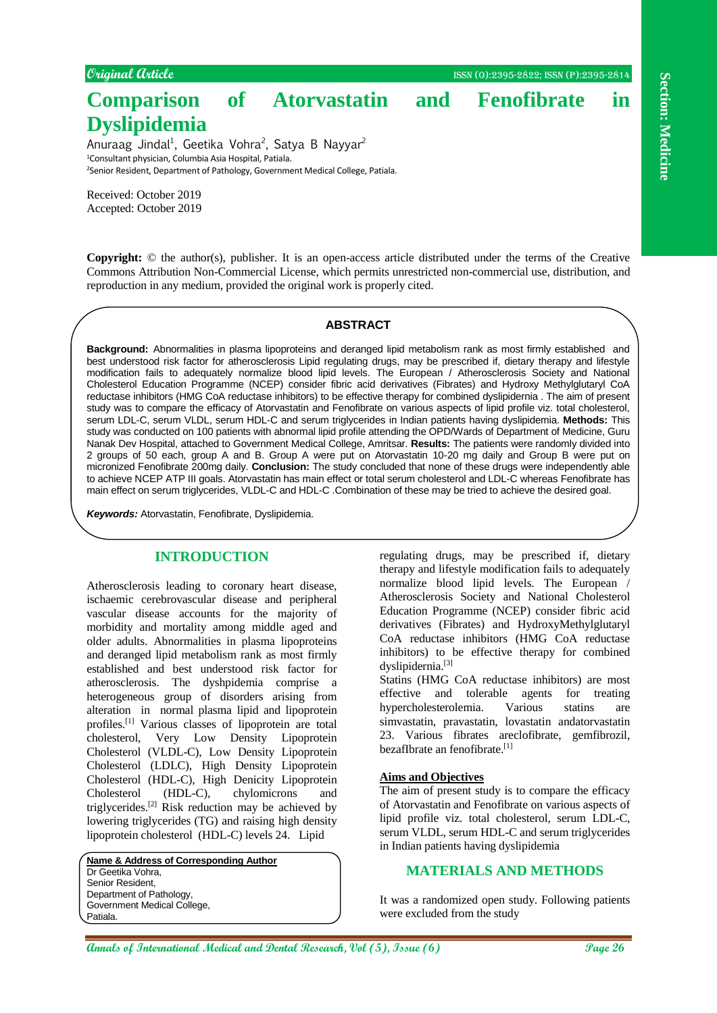**Comparison of Atorvastatin and Fenofibrate in** 

Anuraag Jindal<sup>1</sup>, Geetika Vohra<sup>2</sup>, Satya B Nayyar<sup>2</sup> <sup>1</sup>Consultant physician, Columbia Asia Hospital, Patiala. <sup>2</sup>Senior Resident, Department of Pathology, Government Medical College, Patiala.

Received: October 2019 Accepted: October 2019

**Dyslipidemia**

**Copyright:** © the author(s), publisher. It is an open-access article distributed under the terms of the Creative Commons Attribution Non-Commercial License, which permits unrestricted non-commercial use, distribution, and reproduction in any medium, provided the original work is properly cited.

## **ABSTRACT**

**Constraine the conservation of Adole Conservational and Dental Research, Vol (5), Islamina (1), Islamina Conservation and Conservation and Dental Research, Section 26 <b>Conservation** and Conservation and Conservation and C **Background:** Abnormalities in plasma lipoproteins and deranged lipid metabolism rank as most firmly established and best understood risk factor for atherosclerosis Lipid regulating drugs, may be prescribed if, dietary therapy and lifestyle modification fails to adequately normalize blood lipid levels. The European / Atherosclerosis Society and National Cholesterol Education Programme (NCEP) consider fibric acid derivatives (Fibrates) and Hydroxy Methylglutaryl CoA reductase inhibitors (HMG CoA reductase inhibitors) to be effective therapy for combined dyslipidernia . The aim of present study was to compare the efficacy of Atorvastatin and Fenofibrate on various aspects of lipid profile viz. total cholesterol, serum LDL-C, serum VLDL, serum HDL-C and serum triglycerides in Indian patients having dyslipidemia. **Methods:** This study was conducted on 100 patients with abnormal lipid profile attending the OPD/Wards of Department of Medicine, Guru Nanak Dev Hospital, attached to Government Medical College, Amritsar. **Results:** The patients were randomly divided into 2 groups of 50 each, group A and B. Group A were put on Atorvastatin 10-20 mg daily and Group B were put on micronized Fenofibrate 200mg daily. **Conclusion:** The study concluded that none of these drugs were independently able to achieve NCEP ATP III goals. Atorvastatin has main effect or total serum cholesterol and LDL-C whereas Fenofibrate has main effect on serum triglycerides, VLDL-C and HDL-C .Combination of these may be tried to achieve the desired goal.

*Keywords:* Atorvastatin, Fenofibrate, Dyslipidemia.

# **INTRODUCTION**

Atherosclerosis leading to coronary heart disease, ischaemic cerebrovascular disease and peripheral vascular disease accounts for the majority of morbidity and mortality among middle aged and older adults. Abnormalities in plasma lipoproteins and deranged lipid metabolism rank as most firmly established and best understood risk factor for atherosclerosis. The dyshpidemia comprise a heterogeneous group of disorders arising from alteration in normal plasma lipid and lipoprotein profiles.[1] Various classes of lipoprotein are total cholesterol, Very Low Density Lipoprotein Cholesterol (VLDL-C), Low Density Lipoprotein Cholesterol (LDLC), High Density Lipoprotein Cholesterol (HDL-C), High Denicity Lipoprotein Cholesterol (HDL-C), chylomicrons and triglycerides. [2] Risk reduction may be achieved by lowering triglycerides (TG) and raising high density lipoprotein cholesterol (HDL-C) levels 24. Lipid

**Name & Address of Corresponding Author** Dr Geetika Vohra, Senior Resident, Department of Pathology, Government Medical College, Patiala.

regulating drugs, may be prescribed if, dietary therapy and lifestyle modification fails to adequately normalize blood lipid levels. The European / Atherosclerosis Society and National Cholesterol Education Programme (NCEP) consider fibric acid derivatives (Fibrates) and HydroxyMethylglutaryl CoA reductase inhibitors (HMG CoA reductase inhibitors) to be effective therapy for combined dyslipidernia.[3]

Statins (HMG CoA reductase inhibitors) are most effective and tolerable agents for treating hypercholesterolemia. Various statins are simvastatin, pravastatin, lovastatin andatorvastatin 23. Various fibrates areclofibrate, gemfibrozil, bezafIbrate an fenofibrate.<sup>[1]</sup>

# **Aims and Objectives**

The aim of present study is to compare the efficacy of Atorvastatin and Fenofibrate on various aspects of lipid profile viz. total cholesterol, serum LDL-C, serum VLDL, serum HDL-C and serum triglycerides in Indian patients having dyslipidemia

## **MATERIALS AND METHODS**

It was a randomized open study. Following patients were excluded from the study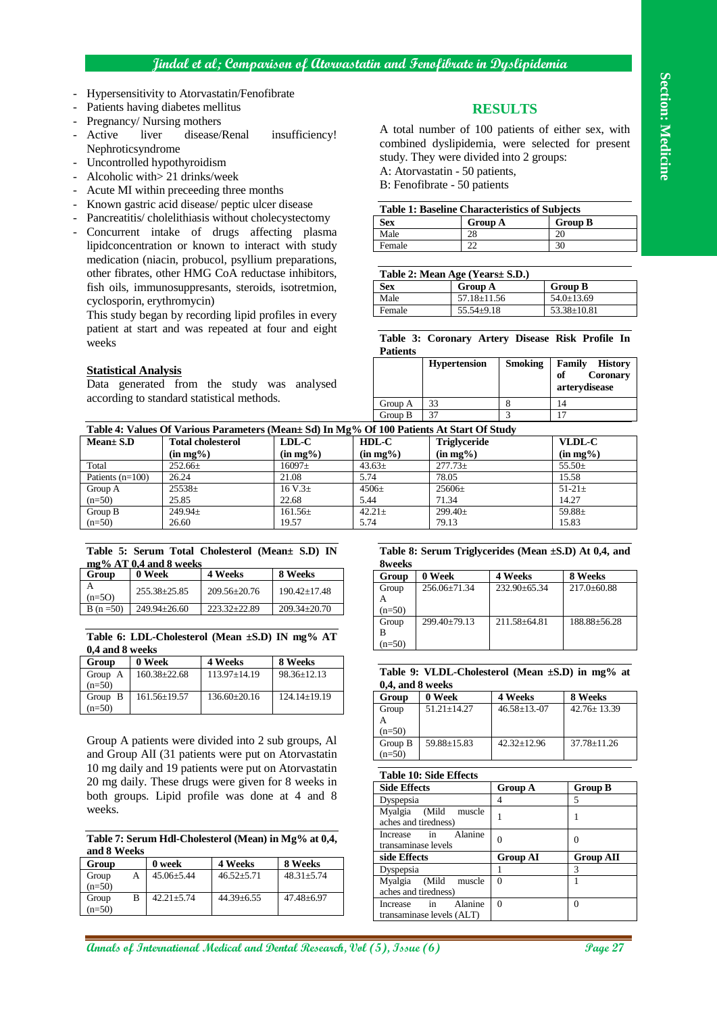# **Section: Medicine Section: Medicine**

# **Jindal et al; Comparison of Atorvastatin and Fenofibrate in Dyslipidemia**

- Hypersensitivity to Atorvastatin/Fenofibrate
- Patients having diabetes mellitus
- Pregnancy/ Nursing mothers
- Active liver disease/Renal insufficiency! Nephroticsyndrome
- Uncontrolled hypothyroidism
- Alcoholic with> 21 drinks/week
- Acute MI within preceeding three months
- Known gastric acid disease/ peptic ulcer disease
- Pancreatitis/ cholelithiasis without cholecystectomy
- Concurrent intake of drugs affecting plasma lipidconcentration or known to interact with study medication (niacin, probucol, psyllium preparations, other fibrates, other HMG CoA reductase inhibitors, fish oils, immunosuppresants, steroids, isotretmion, cyclosporin, erythromycin)

This study began by recording lipid profiles in every patient at start and was repeated at four and eight weeks

## **Statistical Analysis**

Data generated from the study was analysed according to standard statistical methods.

# **RESULTS**

A total number of 100 patients of either sex, with combined dyslipidemia, were selected for present study. They were divided into 2 groups:

A: Atorvastatin - 50 patients,

B: Fenofibrate - 50 patients

| <b>Table 1: Baseline Characteristics of Subjects</b> |                |                |  |
|------------------------------------------------------|----------------|----------------|--|
| <b>Sex</b>                                           | <b>Group A</b> | <b>Group B</b> |  |
| Male                                                 | 28             | 20             |  |
| Female                                               |                | 30             |  |

| Table 2: Mean Age (Years ± S.D.) |                   |                   |  |
|----------------------------------|-------------------|-------------------|--|
| <b>Sex</b>                       | <b>Group A</b>    | <b>Group B</b>    |  |
| Male                             | $57.18 \pm 11.56$ | $54.0 \pm 13.69$  |  |
| Female                           | $55.54 \pm 9.18$  | $53.38 \pm 10.81$ |  |

**Table 3: Coronary Artery Disease Risk Profile In Patients**

|         | <b>Hypertension</b> | <b>Smoking</b> | Family<br><b>History</b><br>Coronary<br>of<br>arterydisease |
|---------|---------------------|----------------|-------------------------------------------------------------|
| Group A | 33                  |                |                                                             |
| Group B | 37                  |                |                                                             |

**Table 4: Values Of Various Parameters (Mean± Sd) In Mg% Of 100 Patients At Start Of Study**

| $Mean \pm S.D$     | <b>Total cholesterol</b> | $LDL-C$      | $HDL-C$     | <b>Triglyceride</b> | VLDL-C      |
|--------------------|--------------------------|--------------|-------------|---------------------|-------------|
|                    | $(in mg\%)$              | $(in mg\%)$  | $(in mg\%)$ | $(in mg\%)$         | $(in mg\%)$ |
| Total              | $252.66 \pm$             | $16097\pm$   | $43.63 \pm$ | $277.73+$           | $55.50+$    |
| Patients $(n=100)$ | 26.24                    | 21.08        | 5.74        | 78.05               | 15.58       |
| Group A            | $25538\pm$               | 16 V.3 $\pm$ | $4506\pm$   | $25606 \pm$         | $51-21 \pm$ |
| $(n=50)$           | 25.85                    | 22.68        | 5.44        | 71.34               | 14.27       |
| Group B            | $249.94\pm$              | $161.56\pm$  | $42.21 \pm$ | 299.40±             | 59.88 $\pm$ |
| $(n=50)$           | 26.60                    | 19.57        | 5.74        | 79.13               | 15.83       |

#### **Table 5: Serum Total Cholesterol (Mean± S.D) IN mg% AT 0,4 and 8 weeks**

| Group         | $\frac{1}{2}$ /0 $\Delta$ 1 0.7 and 0 weeks<br>0 Week | 4 Weeks            | 8 Weeks            |
|---------------|-------------------------------------------------------|--------------------|--------------------|
| $(n=5O)$      | $255.38 + 25.85$                                      | $209.56 \pm 20.76$ | $190.42 + 17.48$   |
| B (n = $50$ ) | $249.94 + 26.60$                                      | $223.32+22.89$     | $209.34 \pm 20.70$ |

#### **Table 6: LDL-Cholesterol (Mean ±S.D) IN mg% AT 0,4 and 8 weeks**

| Group                | 0 Week             | 4 Weeks            | 8 Weeks           |
|----------------------|--------------------|--------------------|-------------------|
| Group A              | $160.38 \pm 22.68$ | $113.97 \pm 14.19$ | $98.36 \pm 12.13$ |
| $(n=50)$             |                    |                    |                   |
| Group $\overline{B}$ | $161.56 + 19.57$   | $136.60 \pm 20.16$ | $124.14 + 19.19$  |
| $(n=50)$             |                    |                    |                   |

Group A patients were divided into 2 sub groups, Al and Group AlI (31 patients were put on Atorvastatin 10 mg daily and 19 patients were put on Atorvastatin 20 mg daily. These drugs were given for 8 weeks in both groups. Lipid profile was done at 4 and 8 weeks.

**Table 7: Serum Hdl-Cholesterol (Mean) in Mg% at 0,4, and 8 Weeks**

| Group    | 0 week           | 4 Weeks          | 8 Weeks          |
|----------|------------------|------------------|------------------|
| Group    | $45.06 \pm 5.44$ | $46.52 + 5.71$   | $48.31 + 5.74$   |
| $(n=50)$ |                  |                  |                  |
| Group    | $42.21 + 5.74$   | $44.39 \pm 6.55$ | $47.48 \pm 6.97$ |
| $(n=50)$ |                  |                  |                  |

#### **Table 8: Serum Triglycerides (Mean ±S.D) At 0,4, and 8weeks**

| Group    | 0 Week             | 4 Weeks          | 8 Weeks         |
|----------|--------------------|------------------|-----------------|
| Group    | $256.06 + 71.34$   | $232.90 + 65.34$ | $217.0 + 60.88$ |
| $(n=50)$ |                    |                  |                 |
| Group    | $299.40 \pm 79.13$ | $211.58 + 64.81$ | 188.88+56.28    |
| $(n=50)$ |                    |                  |                 |

#### **Table 9: VLDL-Cholesterol (Mean ±S.D) in mg% at 0,4, and 8 weeks**

| Group    | 0 Week          | 4 Weeks         | 8 Weeks         |
|----------|-----------------|-----------------|-----------------|
| Group    | $51.21 + 14.27$ | $46.58 + 13.07$ | $42.76 + 13.39$ |
|          |                 |                 |                 |
| $(n=50)$ |                 |                 |                 |
| Group B  | 59.88+15.83     | $42.32 + 12.96$ | $37.78 + 11.26$ |
| $(n=50)$ |                 |                 |                 |

**Table 10: Side Effects**

| rabic ro. Biuc Efficits                         |                 |                  |
|-------------------------------------------------|-----------------|------------------|
| <b>Side Effects</b>                             | <b>Group A</b>  | <b>Group B</b>   |
| Dyspepsia                                       |                 | 5                |
| Myalgia (Mild<br>muscle<br>aches and tiredness) |                 |                  |
| Alanine<br>Increase in<br>transaminase levels   |                 |                  |
| side Effects                                    | <b>Group AI</b> | <b>Group AII</b> |
| Dyspepsia                                       |                 | 3                |
| Myalgia (Mild<br>muscle                         | 0               |                  |
|                                                 |                 |                  |
| aches and tiredness)                            |                 |                  |
| Alanine<br>Increase in                          | $\Omega$        | 0                |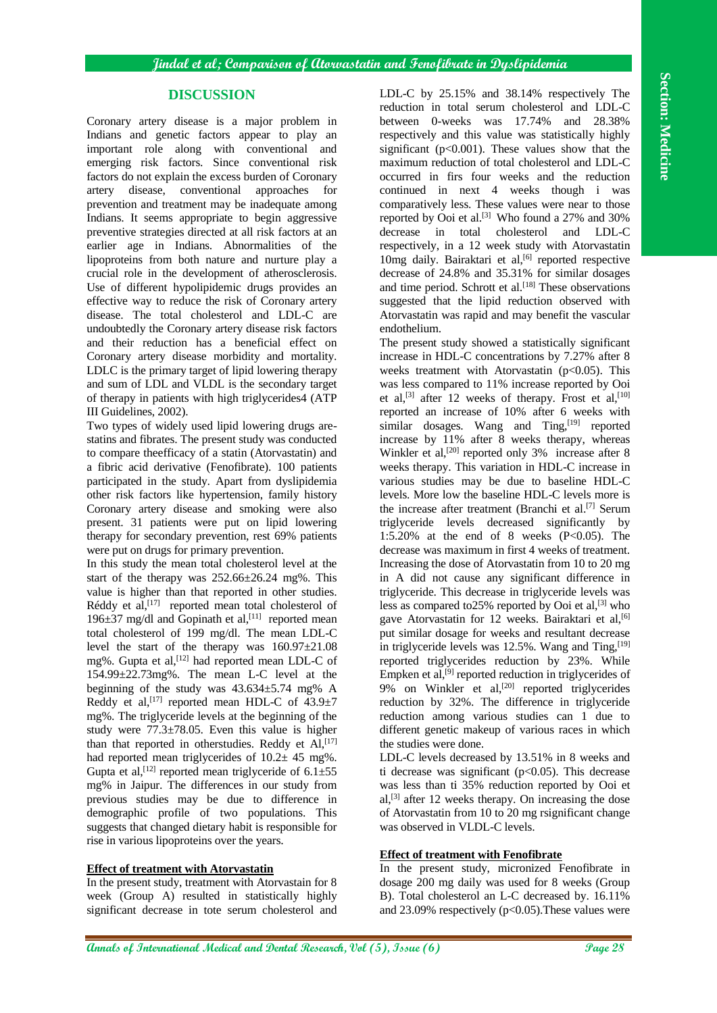# **DISCUSSION**

Coronary artery disease is a major problem in Indians and genetic factors appear to play an important role along with conventional and emerging risk factors. Since conventional risk factors do not explain the excess burden of Coronary artery disease, conventional approaches for prevention and treatment may be inadequate among Indians. It seems appropriate to begin aggressive preventive strategies directed at all risk factors at an earlier age in Indians. Abnormalities of the lipoproteins from both nature and nurture play a crucial role in the development of atherosclerosis. Use of different hypolipidemic drugs provides an effective way to reduce the risk of Coronary artery disease. The total cholesterol and LDL-C are undoubtedly the Coronary artery disease risk factors and their reduction has a beneficial effect on Coronary artery disease morbidity and mortality. LDLC is the primary target of lipid lowering therapy and sum of LDL and VLDL is the secondary target of therapy in patients with high triglycerides4 (ATP III Guidelines, 2002).

Two types of widely used lipid lowering drugs arestatins and fibrates. The present study was conducted to compare theefficacy of a statin (Atorvastatin) and a fibric acid derivative (Fenofibrate). 100 patients participated in the study. Apart from dyslipidemia other risk factors like hypertension, family history Coronary artery disease and smoking were also present. 31 patients were put on lipid lowering therapy for secondary prevention, rest 69% patients were put on drugs for primary prevention.

In this study the mean total cholesterol level at the start of the therapy was 252.66±26.24 mg%. This value is higher than that reported in other studies. Réddy et al,<sup>[17]</sup> reported mean total cholesterol of 196 $\pm$ 37 mg/dl and Gopinath et al,<sup>[11]</sup> reported mean total cholesterol of 199 mg/dl. The mean LDL-C level the start of the therapy was 160.97±21.08 mg%. Gupta et al,<sup>[12]</sup> had reported mean LDL-C of 154.99±22.73mg%. The mean L-C level at the beginning of the study was  $43.634 \pm 5.74$  mg% A Reddy et al,  $[17]$  reported mean HDL-C of  $43.9 \pm 7$ mg%. The triglyceride levels at the beginning of the study were 77.3±78.05. Even this value is higher than that reported in otherstudies. Reddy et  $AI$ ,  $[17]$ had reported mean triglycerides of  $10.2± 45$  mg%. Gupta et al,<sup>[12]</sup> reported mean triglyceride of  $6.1 \pm 55$ mg% in Jaipur. The differences in our study from previous studies may be due to difference in demographic profile of two populations. This suggests that changed dietary habit is responsible for rise in various lipoproteins over the years.

## **Effect of treatment with Atorvastatin**

In the present study, treatment with Atorvastain for 8 week (Group A) resulted in statistically highly significant decrease in tote serum cholesterol and LDL-C by 25.15% and 38.14% respectively The reduction in total serum cholesterol and LDL-C between 0-weeks was 17.74% and 28.38% respectively and this value was statistically highly significant  $(p<0.001)$ . These values show that the maximum reduction of total cholesterol and LDL-C occurred in firs four weeks and the reduction continued in next 4 weeks though i was comparatively less. These values were near to those reported by Ooi et al.<sup>[3]</sup> Who found a  $27\%$  and  $30\%$ decrease in total cholesterol and LDL-C respectively, in a 12 week study with Atorvastatin 10mg daily. Bairaktari et al,<sup>[6]</sup> reported respective decrease of 24.8% and 35.31% for similar dosages and time period. Schrott et al.<sup>[18]</sup> These observations suggested that the lipid reduction observed with Atorvastatin was rapid and may benefit the vascular endothelium.

The present study showed a statistically significant increase in HDL-C concentrations by 7.27% after 8 weeks treatment with Atorvastatin ( $p<0.05$ ). This was less compared to 11% increase reported by Ooi et al,<sup>[3]</sup> after 12 weeks of therapy. Frost et al,<sup>[10]</sup> reported an increase of 10% after 6 weeks with similar dosages. Wang and  $\text{ Ting},^{[19]}$  reported increase by 11% after 8 weeks therapy, whereas Winkler et al,<sup>[20]</sup> reported only  $3\%$  increase after 8 weeks therapy. This variation in HDL-C increase in various studies may be due to baseline HDL-C levels. More low the baseline HDL-C levels more is the increase after treatment (Branchi et al.<sup>[7]</sup> Serum triglyceride levels decreased significantly by 1:5.20% at the end of 8 weeks (P<0.05). The decrease was maximum in first 4 weeks of treatment. Increasing the dose of Atorvastatin from 10 to 20 mg in A did not cause any significant difference in triglyceride. This decrease in triglyceride levels was less as compared to 25% reported by Ooi et al,  $[3]$  who gave Atorvastatin for 12 weeks. Bairaktari et al,<sup>[6]</sup> put similar dosage for weeks and resultant decrease in triglyceride levels was 12.5%. Wang and Ting, [19] reported triglycerides reduction by 23%. While Empken et al,<sup>[9]</sup> reported reduction in triglycerides of 9% on Winkler et al,<sup>[20]</sup> reported triglycerides reduction by 32%. The difference in triglyceride reduction among various studies can 1 due to different genetic makeup of various races in which the studies were done.

LDL-C levels decreased by 13.51% in 8 weeks and ti decrease was significant  $(p<0.05)$ . This decrease was less than ti 35% reduction reported by Ooi et al,<sup>[3]</sup> after 12 weeks therapy. On increasing the dose of Atorvastatin from 10 to 20 mg rsignificant change was observed in VLDL-C levels.

## **Effect of treatment with Fenofibrate**

In the present study, micronized Fenofibrate in dosage 200 mg daily was used for 8 weeks (Group B). Total cholesterol an L-C decreased by. 16.11% and  $23.09\%$  respectively ( $p<0.05$ ). These values were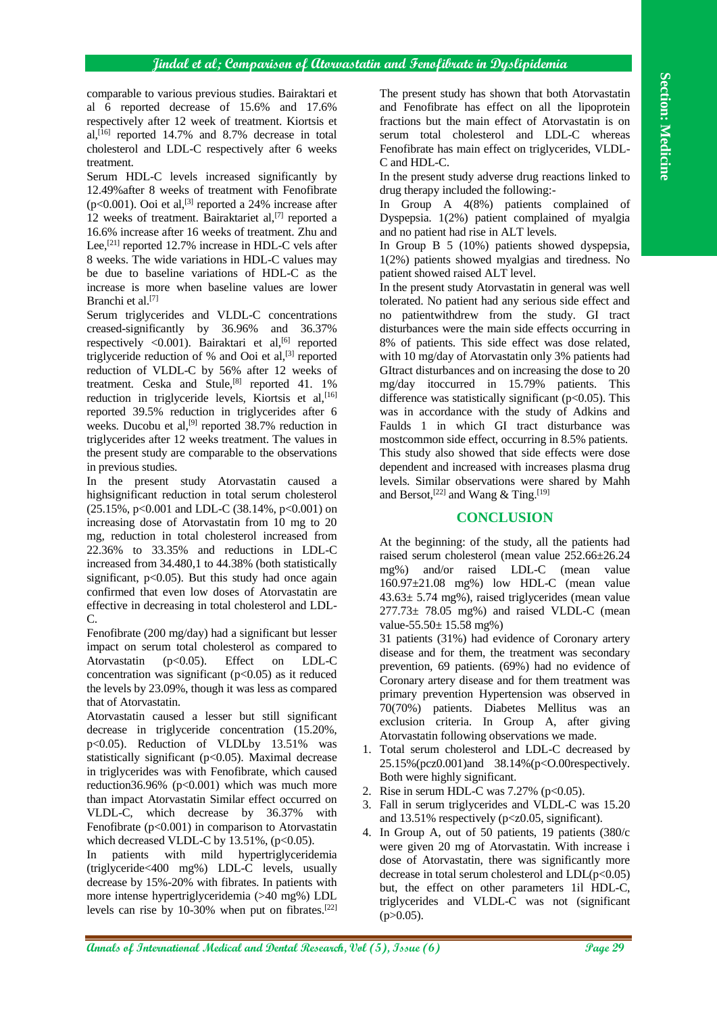## **Jindal et al; Comparison of Atorvastatin and Fenofibrate in Dyslipidemia**

comparable to various previous studies. Bairaktari et al 6 reported decrease of 15.6% and 17.6% respectively after 12 week of treatment. Kiortsis et al,<sup>[16]</sup> reported 14.7% and 8.7% decrease in total cholesterol and LDL-C respectively after 6 weeks treatment.

Serum HDL-C levels increased significantly by 12.49%after 8 weeks of treatment with Fenofibrate ( $p<0.001$ ). Ooi et al,<sup>[3]</sup> reported a 24% increase after 12 weeks of treatment. Bairaktariet al,<sup>[7]</sup> reported a 16.6% increase after 16 weeks of treatment. Zhu and Lee,<sup>[21]</sup> reported 12.7% increase in HDL-C vels after 8 weeks. The wide variations in HDL-C values may be due to baseline variations of HDL-C as the increase is more when baseline values are lower Branchi et al. [7]

Serum triglycerides and VLDL-C concentrations creased-significantly by 36.96% and 36.37% respectively  $\langle 0.001 \rangle$ . Bairaktari et al, <sup>[6]</sup> reported triglyceride reduction of % and Ooi et al,<sup>[3]</sup> reported reduction of VLDL-C by 56% after 12 weeks of treatment. Ceska and Stule,<sup>[8]</sup> reported 41. 1% reduction in triglyceride levels, Kiortsis et al, <a>[16]</a> reported 39.5% reduction in triglycerides after 6 weeks. Ducobu et al,<sup>[9]</sup> reported  $38.7\%$  reduction in triglycerides after 12 weeks treatment. The values in the present study are comparable to the observations in previous studies.

In the present study Atorvastatin caused a highsignificant reduction in total serum cholesterol  $(25.15\% \text{, } p<0.001 \text{ and LDL-C } (38.14\% \text{, } p<0.001 \text{) on }$ increasing dose of Atorvastatin from 10 mg to 20 mg, reduction in total cholesterol increased from 22.36% to 33.35% and reductions in LDL-C increased from 34.480,1 to 44.38% (both statistically significant,  $p<0.05$ ). But this study had once again confirmed that even low doses of Atorvastatin are effective in decreasing in total cholesterol and LDL-C.

Fenofibrate (200 mg/day) had a significant but lesser impact on serum total cholesterol as compared to Atorvastatin (p<0.05). Effect on LDL-C concentration was significant  $(p<0.05)$  as it reduced the levels by 23.09%, though it was less as compared that of Atorvastatin.

Atorvastatin caused a lesser but still significant decrease in triglyceride concentration (15.20%, p<0.05). Reduction of VLDLby 13.51% was statistically significant ( $p<0.05$ ). Maximal decrease in triglycerides was with Fenofibrate, which caused reduction36.96% ( $p<0.001$ ) which was much more than impact Atorvastatin Similar effect occurred on VLDL-C, which decrease by 36.37% with Fenofibrate  $(p<0.001)$  in comparison to Atorvastatin which decreased VLDL-C by  $13.51\%$ , (p<0.05).

In patients with mild hypertriglyceridemia (triglyceride<400 mg%) LDL-C levels, usually decrease by 15%-20% with fibrates. In patients with more intense hypertriglyceridemia (>40 mg%) LDL levels can rise by 10-30% when put on fibrates. [22] The present study has shown that both Atorvastatin and Fenofibrate has effect on all the lipoprotein fractions but the main effect of Atorvastatin is on serum total cholesterol and LDL-C whereas Fenofibrate has main effect on triglycerides, VLDL-C and HDL-C.

In the present study adverse drug reactions linked to drug therapy included the following:-

In Group A 4(8%) patients complained of Dyspepsia. 1(2%) patient complained of myalgia and no patient had rise in ALT levels.

In Group B 5 (10%) patients showed dyspepsia, 1(2%) patients showed myalgias and tiredness. No patient showed raised ALT level.

In the present study Atorvastatin in general was well tolerated. No patient had any serious side effect and no patientwithdrew from the study. GI tract disturbances were the main side effects occurring in 8% of patients. This side effect was dose related, with 10 mg/day of Atorvastatin only 3% patients had GItract disturbances and on increasing the dose to 20 mg/day itoccurred in 15.79% patients. This difference was statistically significant  $(p<0.05)$ . This was in accordance with the study of Adkins and Faulds 1 in which GI tract disturbance was mostcommon side effect, occurring in 8.5% patients. This study also showed that side effects were dose dependent and increased with increases plasma drug levels. Similar observations were shared by Mahh and Bersot,<sup>[22]</sup> and Wang & Ting.<sup>[19]</sup>

## **CONCLUSION**

At the beginning: of the study, all the patients had raised serum cholesterol (mean value 252.66±26.24 mg%) and/or raised LDL-C (mean value 160.97±21.08 mg%) low HDL-C (mean value  $43.63 \pm 5.74$  mg%), raised triglycerides (mean value  $277.73 \pm 78.05$  mg%) and raised VLDL-C (mean value-55.50 $\pm$  15.58 mg%)

31 patients (31%) had evidence of Coronary artery disease and for them, the treatment was secondary prevention, 69 patients. (69%) had no evidence of Coronary artery disease and for them treatment was primary prevention Hypertension was observed in 70(70%) patients. Diabetes Mellitus was an exclusion criteria. In Group A, after giving Atorvastatin following observations we made.

- 1. Total serum cholesterol and LDL-C decreased by 25.15%(pcz0.001)and 38.14%(p<O.00respectively. Both were highly significant.
- 2. Rise in serum HDL-C was  $7.27\%$  (p<0.05).
- 3. Fall in serum triglycerides and VLDL-C was 15.20 and 13.51% respectively (p<z0.05, significant).
- 4. In Group A, out of 50 patients, 19 patients (380/c were given 20 mg of Atorvastatin. With increase i dose of Atorvastatin, there was significantly more decrease in total serum cholesterol and  $LDL(p<0.05)$ but, the effect on other parameters 1il HDL-C, triglycerides and VLDL-C was not (significant  $(p>0.05)$ .